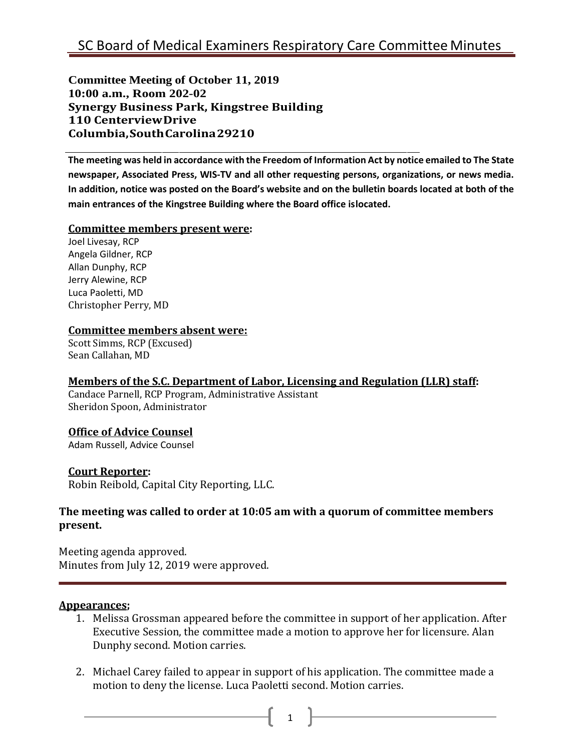**Committee Meeting of October 11, 2019 10:00 a.m., Room 202-02 Synergy Business Park, Kingstree Building 110 CenterviewDrive Columbia,SouthCarolina29210**

**The meeting was held in accordance with the Freedom of Information Act by notice emailed to The State newspaper, Associated Press, WIS-TV and all other requesting persons, organizations, or news media. In addition, notice was posted on the Board's website and on the bulletin boards located at both of the main entrances of the Kingstree Building where the Board office islocated.**

#### **Committee members present were:**

Joel Livesay, RCP Angela Gildner, RCP Allan Dunphy, RCP Jerry Alewine, RCP Luca Paoletti, MD Christopher Perry, MD

#### **Committee members absent were:**

Scott Simms, RCP (Excused) Sean Callahan, MD

## **Members of the S.C. Department of Labor, Licensing and Regulation (LLR) staff:**

Candace Parnell, RCP Program, Administrative Assistant Sheridon Spoon, Administrator

## **Office of Advice Counsel**

Adam Russell, Advice Counsel

## **Court Reporter:**

Robin Reibold, Capital City Reporting, LLC.

## **The meeting was called to order at 10:05 am with a quorum of committee members present.**

Meeting agenda approved. Minutes from July 12, 2019 were approved.

#### **Appearances;**

- 1. Melissa Grossman appeared before the committee in support of her application. After Executive Session, the committee made a motion to approve her for licensure. Alan Dunphy second. Motion carries.
- 2. Michael Carey failed to appear in support of his application. The committee made a motion to deny the license. Luca Paoletti second. Motion carries.

1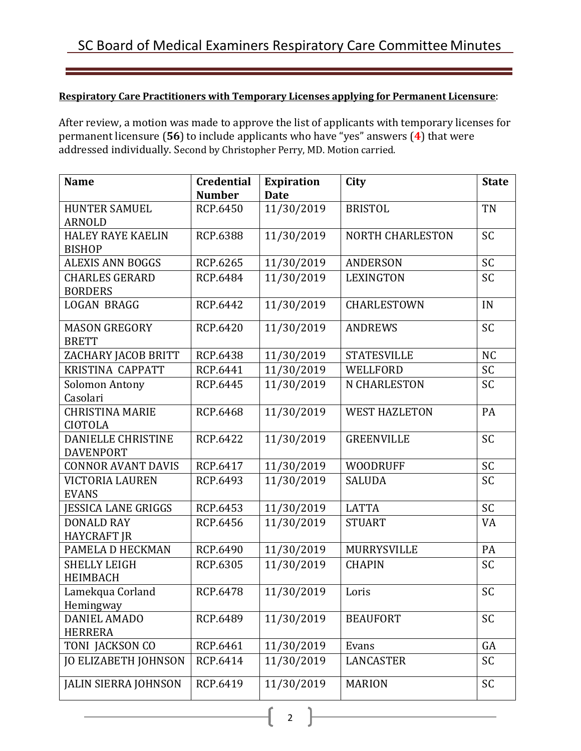# **Respiratory Care Practitioners with Temporary Licenses applying for Permanent Licensure**:

After review, a motion was made to approve the list of applicants with temporary licenses for permanent licensure (**56**) to include applicants who have "yes" answers (**4**) that were addressed individually. Second by Christopher Perry, MD. Motion carried.

| <b>Name</b>                 | <b>Credential</b> | <b>Expiration</b> | City                    | <b>State</b> |
|-----------------------------|-------------------|-------------------|-------------------------|--------------|
|                             | <b>Number</b>     | <b>Date</b>       |                         |              |
| <b>HUNTER SAMUEL</b>        | RCP.6450          | 11/30/2019        | <b>BRISTOL</b>          | <b>TN</b>    |
| <b>ARNOLD</b>               |                   |                   |                         |              |
| <b>HALEY RAYE KAELIN</b>    | RCP.6388          | 11/30/2019        | <b>NORTH CHARLESTON</b> | <b>SC</b>    |
| <b>BISHOP</b>               |                   |                   |                         |              |
| <b>ALEXIS ANN BOGGS</b>     | RCP.6265          | 11/30/2019        | <b>ANDERSON</b>         | SC           |
| <b>CHARLES GERARD</b>       | RCP.6484          | 11/30/2019        | <b>LEXINGTON</b>        | <b>SC</b>    |
| <b>BORDERS</b>              |                   |                   |                         |              |
| <b>LOGAN BRAGG</b>          | RCP.6442          | 11/30/2019        | CHARLESTOWN             | IN           |
| <b>MASON GREGORY</b>        | RCP.6420          | 11/30/2019        | <b>ANDREWS</b>          | SC           |
| <b>BRETT</b>                |                   |                   |                         |              |
| ZACHARY JACOB BRITT         | RCP.6438          | 11/30/2019        | <b>STATESVILLE</b>      | <b>NC</b>    |
| <b>KRISTINA CAPPATT</b>     | RCP.6441          | 11/30/2019        | WELLFORD                | SC           |
| Solomon Antony              | RCP.6445          | 11/30/2019        | N CHARLESTON            | SC           |
| Casolari                    |                   |                   |                         |              |
| <b>CHRISTINA MARIE</b>      | RCP.6468          | 11/30/2019        | <b>WEST HAZLETON</b>    | PA           |
| <b>CIOTOLA</b>              |                   |                   |                         |              |
| <b>DANIELLE CHRISTINE</b>   | RCP.6422          | 11/30/2019        | <b>GREENVILLE</b>       | SC           |
| <b>DAVENPORT</b>            |                   |                   |                         |              |
| <b>CONNOR AVANT DAVIS</b>   | RCP.6417          | 11/30/2019        | <b>WOODRUFF</b>         | <b>SC</b>    |
| VICTORIA LAUREN             | RCP.6493          | 11/30/2019        | <b>SALUDA</b>           | <b>SC</b>    |
| <b>EVANS</b>                |                   |                   |                         |              |
| <b>JESSICA LANE GRIGGS</b>  | RCP.6453          | 11/30/2019        | <b>LATTA</b>            | <b>SC</b>    |
| <b>DONALD RAY</b>           | RCP.6456          | 11/30/2019        | <b>STUART</b>           | VA           |
| <b>HAYCRAFT JR</b>          |                   |                   |                         |              |
| PAMELA D HECKMAN            | RCP.6490          | 11/30/2019        | MURRYSVILLE             | PA           |
| <b>SHELLY LEIGH</b>         | RCP.6305          | 11/30/2019        | <b>CHAPIN</b>           | <b>SC</b>    |
| <b>HEIMBACH</b>             |                   |                   |                         |              |
| Lamekqua Corland            | RCP.6478          | 11/30/2019        | Loris                   | SC           |
| Hemingway                   |                   |                   |                         |              |
| <b>DANIEL AMADO</b>         | RCP.6489          | 11/30/2019        | <b>BEAUFORT</b>         | SC           |
| <b>HERRERA</b>              |                   |                   |                         |              |
| TONI JACKSON CO             | RCP.6461          | 11/30/2019        | Evans                   | GA           |
| <b>JO ELIZABETH JOHNSON</b> | RCP.6414          | 11/30/2019        | <b>LANCASTER</b>        | <b>SC</b>    |
| <b>JALIN SIERRA JOHNSON</b> | RCP.6419          | 11/30/2019        | <b>MARION</b>           | <b>SC</b>    |

2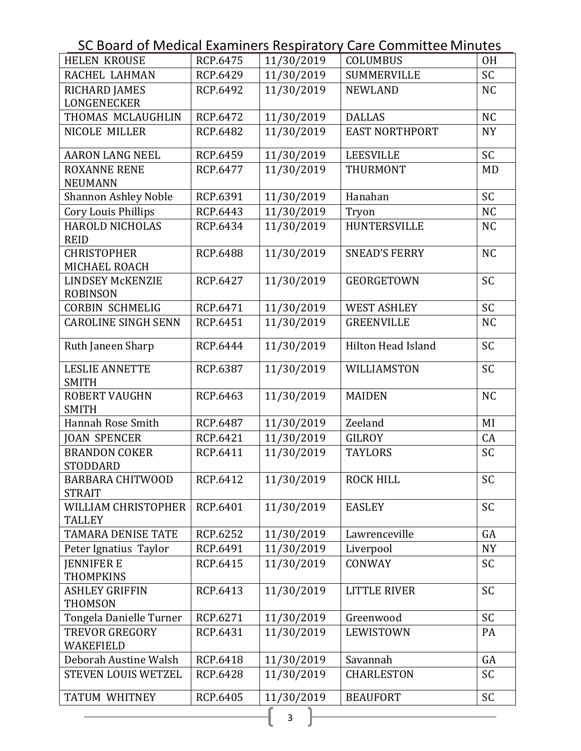SC Board of Medical Examiners Respiratory Care Committee Minutes

| <b>HELEN KROUSE</b>                        | RCP.6475        | 11/30/2019 | <b>COLUMBUS</b>           | <b>OH</b> |
|--------------------------------------------|-----------------|------------|---------------------------|-----------|
| RACHEL LAHMAN                              | RCP.6429        | 11/30/2019 | <b>SUMMERVILLE</b>        | <b>SC</b> |
| <b>RICHARD JAMES</b>                       | RCP.6492        | 11/30/2019 | <b>NEWLAND</b>            | <b>NC</b> |
| LONGENECKER                                |                 |            |                           |           |
| THOMAS MCLAUGHLIN                          | RCP.6472        | 11/30/2019 | <b>DALLAS</b>             | <b>NC</b> |
| NICOLE MILLER                              | RCP.6482        | 11/30/2019 | <b>EAST NORTHPORT</b>     | <b>NY</b> |
| <b>AARON LANG NEEL</b>                     | RCP.6459        | 11/30/2019 | <b>LEESVILLE</b>          | <b>SC</b> |
| <b>ROXANNE RENE</b>                        | RCP.6477        | 11/30/2019 | THURMONT                  | <b>MD</b> |
| <b>NEUMANN</b>                             |                 |            |                           |           |
| <b>Shannon Ashley Noble</b>                | RCP.6391        | 11/30/2019 | Hanahan                   | <b>SC</b> |
| Cory Louis Phillips                        | RCP.6443        | 11/30/2019 | Tryon                     | <b>NC</b> |
| <b>HAROLD NICHOLAS</b><br><b>REID</b>      | RCP.6434        | 11/30/2019 | <b>HUNTERSVILLE</b>       | <b>NC</b> |
| <b>CHRISTOPHER</b>                         | <b>RCP.6488</b> | 11/30/2019 | <b>SNEAD'S FERRY</b>      | <b>NC</b> |
| MICHAEL ROACH                              |                 |            |                           |           |
| <b>LINDSEY McKENZIE</b><br><b>ROBINSON</b> | RCP.6427        | 11/30/2019 | <b>GEORGETOWN</b>         | SC        |
| <b>CORBIN SCHMELIG</b>                     | RCP.6471        | 11/30/2019 | <b>WEST ASHLEY</b>        | SC        |
| <b>CAROLINE SINGH SENN</b>                 | RCP.6451        | 11/30/2019 | <b>GREENVILLE</b>         | <b>NC</b> |
|                                            |                 |            |                           |           |
| Ruth Janeen Sharp                          | RCP.6444        | 11/30/2019 | <b>Hilton Head Island</b> | <b>SC</b> |
| <b>LESLIE ANNETTE</b>                      | RCP.6387        | 11/30/2019 | WILLIAMSTON               | <b>SC</b> |
| <b>SMITH</b>                               |                 |            |                           |           |
| <b>ROBERT VAUGHN</b>                       | RCP.6463        | 11/30/2019 | <b>MAIDEN</b>             | <b>NC</b> |
| <b>SMITH</b>                               |                 |            |                           |           |
| Hannah Rose Smith                          | RCP.6487        | 11/30/2019 | Zeeland                   | MI        |
| <b>JOAN SPENCER</b>                        | RCP.6421        | 11/30/2019 | <b>GILROY</b>             | CA        |
| <b>BRANDON COKER</b><br>STODDARD           | RCP.6411        | 11/30/2019 | <b>TAYLORS</b>            | SC        |
| BARBARA CHITWOOD                           | RCP.6412        | 11/30/2019 | <b>ROCK HILL</b>          | SC        |
| <b>STRAIT</b>                              |                 |            |                           |           |
| WILLIAM CHRISTOPHER<br><b>TALLEY</b>       | RCP.6401        | 11/30/2019 | <b>EASLEY</b>             | SC        |
| <b>TAMARA DENISE TATE</b>                  | RCP.6252        | 11/30/2019 | Lawrenceville             | GA        |
| Peter Ignatius Taylor                      | RCP.6491        | 11/30/2019 | Liverpool                 | <b>NY</b> |
| <b>IENNIFER E</b>                          | RCP.6415        | 11/30/2019 | CONWAY                    | <b>SC</b> |
| <b>THOMPKINS</b>                           |                 |            |                           |           |
| <b>ASHLEY GRIFFIN</b>                      | RCP.6413        | 11/30/2019 | <b>LITTLE RIVER</b>       | SC        |
| <b>THOMSON</b>                             |                 |            |                           |           |
| Tongela Danielle Turner                    | RCP.6271        | 11/30/2019 | Greenwood                 | <b>SC</b> |
| <b>TREVOR GREGORY</b>                      | RCP.6431        | 11/30/2019 | LEWISTOWN                 | PA        |
| <b>WAKEFIELD</b>                           |                 |            |                           |           |
| Deborah Austine Walsh                      | RCP.6418        | 11/30/2019 | Savannah                  | GA        |
| STEVEN LOUIS WETZEL                        | RCP.6428        | 11/30/2019 | <b>CHARLESTON</b>         | <b>SC</b> |
| <b>TATUM WHITNEY</b>                       | RCP.6405        | 11/30/2019 | <b>BEAUFORT</b>           | SC        |

 $\{$  3  $\}$